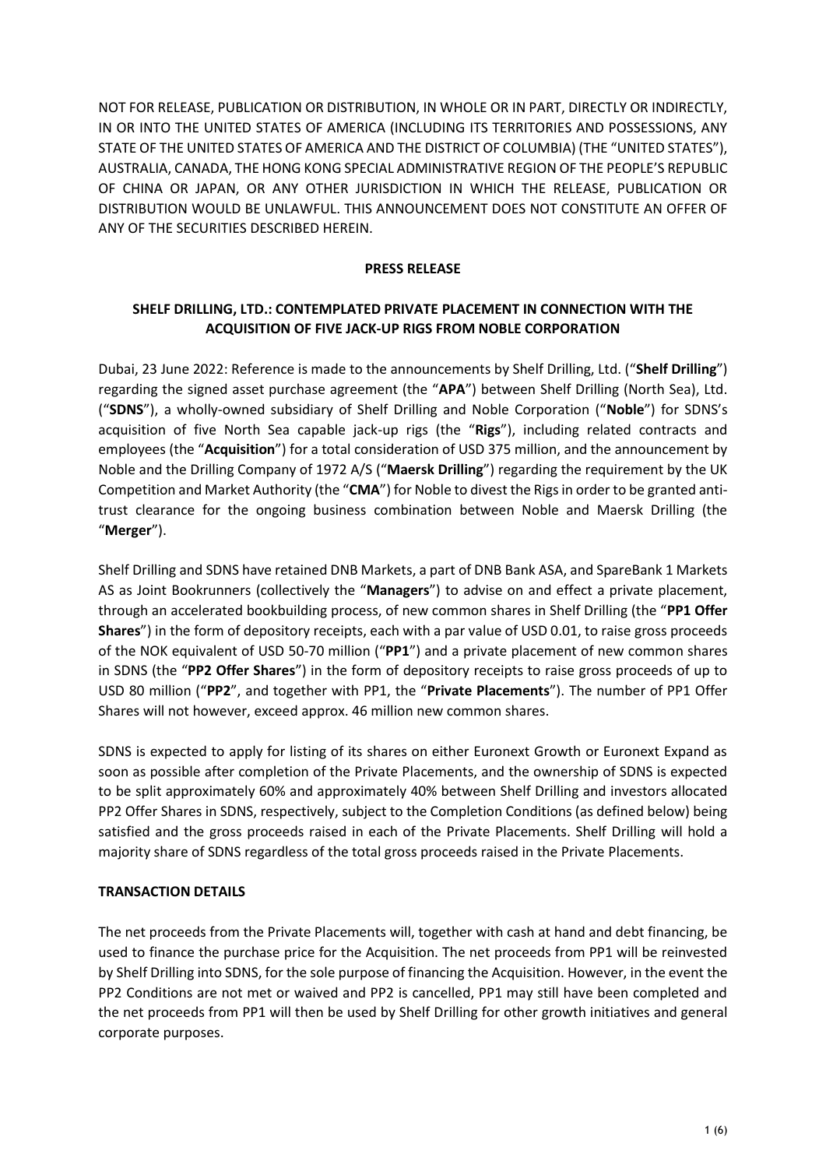NOT FOR RELEASE, PUBLICATION OR DISTRIBUTION, IN WHOLE OR IN PART, DIRECTLY OR INDIRECTLY, IN OR INTO THE UNITED STATES OF AMERICA (INCLUDING ITS TERRITORIES AND POSSESSIONS, ANY STATE OF THE UNITED STATES OF AMERICA AND THE DISTRICT OF COLUMBIA) (THE "UNITED STATES"), AUSTRALIA, CANADA, THE HONG KONG SPECIAL ADMINISTRATIVE REGION OF THE PEOPLE'S REPUBLIC OF CHINA OR JAPAN, OR ANY OTHER JURISDICTION IN WHICH THE RELEASE, PUBLICATION OR DISTRIBUTION WOULD BE UNLAWFUL. THIS ANNOUNCEMENT DOES NOT CONSTITUTE AN OFFER OF ANY OF THE SECURITIES DESCRIBED HEREIN.

#### **PRESS RELEASE**

# **SHELF DRILLING, LTD.: CONTEMPLATED PRIVATE PLACEMENT IN CONNECTION WITH THE ACQUISITION OF FIVE JACK-UP RIGS FROM NOBLE CORPORATION**

Dubai, 23 June 2022: Reference is made to the announcements by Shelf Drilling, Ltd. ("**Shelf Drilling**") regarding the signed asset purchase agreement (the "**APA**") between Shelf Drilling (North Sea), Ltd. ("**SDNS**"), a wholly-owned subsidiary of Shelf Drilling and Noble Corporation ("**Noble**") for SDNS's acquisition of five North Sea capable jack-up rigs (the "**Rigs**"), including related contracts and employees (the "**Acquisition**") for a total consideration of USD 375 million, and the announcement by Noble and the Drilling Company of 1972 A/S ("**Maersk Drilling**") regarding the requirement by the UK Competition and Market Authority (the "**CMA**") for Noble to divest the Rigs in order to be granted antitrust clearance for the ongoing business combination between Noble and Maersk Drilling (the "**Merger**").

Shelf Drilling and SDNS have retained DNB Markets, a part of DNB Bank ASA, and SpareBank 1 Markets AS as Joint Bookrunners (collectively the "**Managers**") to advise on and effect a private placement, through an accelerated bookbuilding process, of new common shares in Shelf Drilling (the "**PP1 Offer Shares**") in the form of depository receipts, each with a par value of USD 0.01, to raise gross proceeds of the NOK equivalent of USD 50-70 million ("**PP1**") and a private placement of new common shares in SDNS (the "**PP2 Offer Shares**") in the form of depository receipts to raise gross proceeds of up to USD 80 million ("**PP2**", and together with PP1, the "**Private Placements**"). The number of PP1 Offer Shares will not however, exceed approx. 46 million new common shares.

SDNS is expected to apply for listing of its shares on either Euronext Growth or Euronext Expand as soon as possible after completion of the Private Placements, and the ownership of SDNS is expected to be split approximately 60% and approximately 40% between Shelf Drilling and investors allocated PP2 Offer Shares in SDNS, respectively, subject to the Completion Conditions (as defined below) being satisfied and the gross proceeds raised in each of the Private Placements. Shelf Drilling will hold a majority share of SDNS regardless of the total gross proceeds raised in the Private Placements.

## **TRANSACTION DETAILS**

The net proceeds from the Private Placements will, together with cash at hand and debt financing, be used to finance the purchase price for the Acquisition. The net proceeds from PP1 will be reinvested by Shelf Drilling into SDNS, for the sole purpose of financing the Acquisition. However, in the event the PP2 Conditions are not met or waived and PP2 is cancelled, PP1 may still have been completed and the net proceeds from PP1 will then be used by Shelf Drilling for other growth initiatives and general corporate purposes.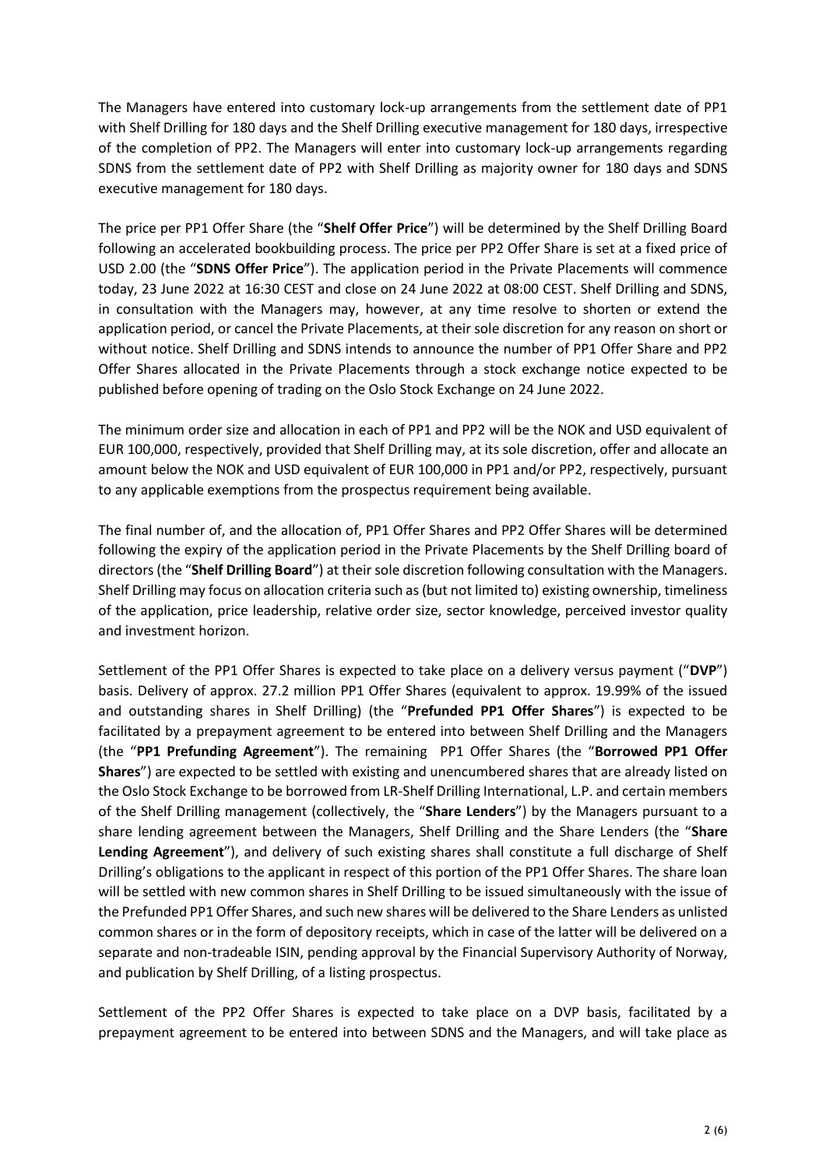The Managers have entered into customary lock-up arrangements from the settlement date of PP1 with Shelf Drilling for 180 days and the Shelf Drilling executive management for 180 days, irrespective of the completion of PP2. The Managers will enter into customary lock-up arrangements regarding SDNS from the settlement date of PP2 with Shelf Drilling as majority owner for 180 days and SDNS executive management for 180 days.

The price per PP1 Offer Share (the "**Shelf Offer Price**") will be determined by the Shelf Drilling Board following an accelerated bookbuilding process. The price per PP2 Offer Share is set at a fixed price of USD 2.00 (the "**SDNS Offer Price**"). The application period in the Private Placements will commence today, 23 June 2022 at 16:30 CEST and close on 24 June 2022 at 08:00 CEST. Shelf Drilling and SDNS, in consultation with the Managers may, however, at any time resolve to shorten or extend the application period, or cancel the Private Placements, at their sole discretion for any reason on short or without notice. Shelf Drilling and SDNS intends to announce the number of PP1 Offer Share and PP2 Offer Shares allocated in the Private Placements through a stock exchange notice expected to be published before opening of trading on the Oslo Stock Exchange on 24 June 2022.

The minimum order size and allocation in each of PP1 and PP2 will be the NOK and USD equivalent of EUR 100,000, respectively, provided that Shelf Drilling may, at its sole discretion, offer and allocate an amount below the NOK and USD equivalent of EUR 100,000 in PP1 and/or PP2, respectively, pursuant to any applicable exemptions from the prospectus requirement being available.

The final number of, and the allocation of, PP1 Offer Shares and PP2 Offer Shares will be determined following the expiry of the application period in the Private Placements by the Shelf Drilling board of directors (the "**Shelf Drilling Board**") at their sole discretion following consultation with the Managers. Shelf Drilling may focus on allocation criteria such as (but not limited to) existing ownership, timeliness of the application, price leadership, relative order size, sector knowledge, perceived investor quality and investment horizon.

Settlement of the PP1 Offer Shares is expected to take place on a delivery versus payment ("**DVP**") basis. Delivery of approx. 27.2 million PP1 Offer Shares (equivalent to approx. 19.99% of the issued and outstanding shares in Shelf Drilling) (the "**Prefunded PP1 Offer Shares**") is expected to be facilitated by a prepayment agreement to be entered into between Shelf Drilling and the Managers (the "**PP1 Prefunding Agreement**"). The remaining PP1 Offer Shares (the "**Borrowed PP1 Offer Shares**") are expected to be settled with existing and unencumbered shares that are already listed on the Oslo Stock Exchange to be borrowed from LR-Shelf Drilling International, L.P. and certain members of the Shelf Drilling management (collectively, the "**Share Lenders**") by the Managers pursuant to a share lending agreement between the Managers, Shelf Drilling and the Share Lenders (the "**Share Lending Agreement**"), and delivery of such existing shares shall constitute a full discharge of Shelf Drilling's obligations to the applicant in respect of this portion of the PP1 Offer Shares. The share loan will be settled with new common shares in Shelf Drilling to be issued simultaneously with the issue of the Prefunded PP1 Offer Shares, and such new shares will be delivered to the Share Lenders as unlisted common shares or in the form of depository receipts, which in case of the latter will be delivered on a separate and non-tradeable ISIN, pending approval by the Financial Supervisory Authority of Norway, and publication by Shelf Drilling, of a listing prospectus.

Settlement of the PP2 Offer Shares is expected to take place on a DVP basis, facilitated by a prepayment agreement to be entered into between SDNS and the Managers, and will take place as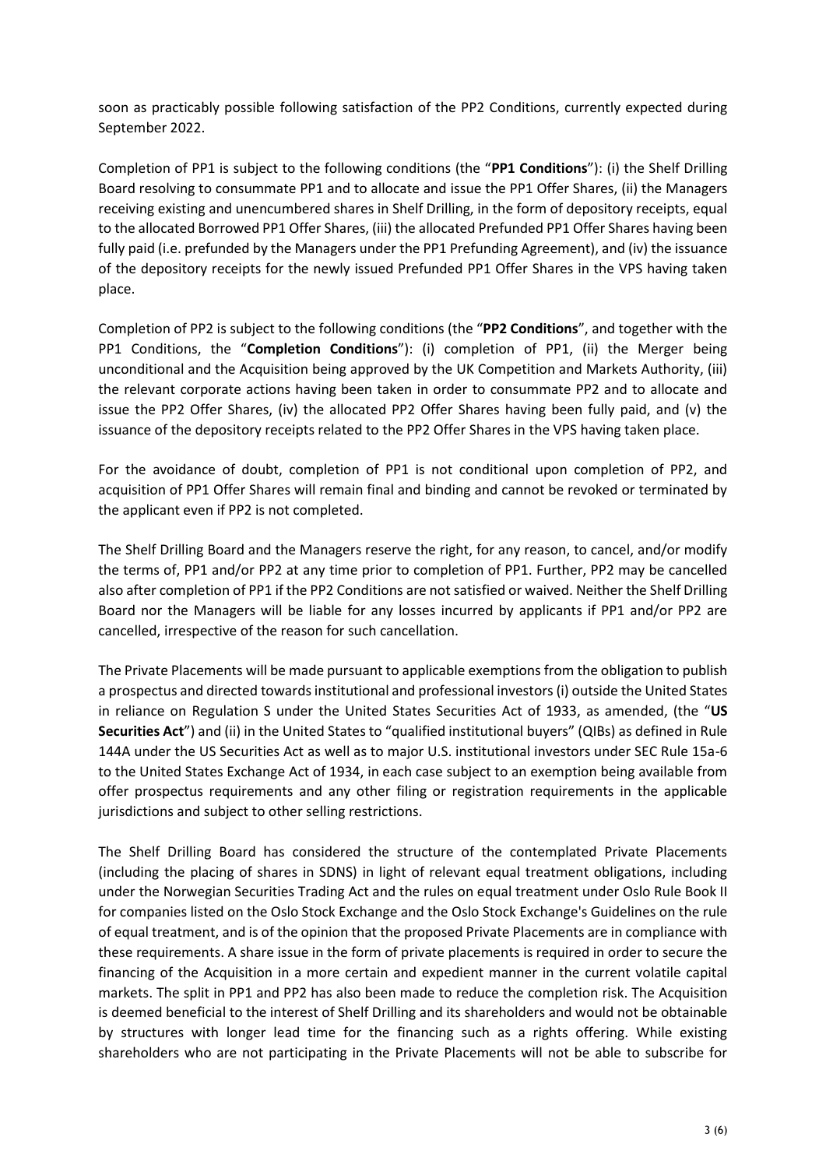soon as practicably possible following satisfaction of the PP2 Conditions, currently expected during September 2022.

Completion of PP1 is subject to the following conditions (the "**PP1 Conditions**"): (i) the Shelf Drilling Board resolving to consummate PP1 and to allocate and issue the PP1 Offer Shares, (ii) the Managers receiving existing and unencumbered shares in Shelf Drilling, in the form of depository receipts, equal to the allocated Borrowed PP1 Offer Shares, (iii) the allocated Prefunded PP1 Offer Shares having been fully paid (i.e. prefunded by the Managers under the PP1 Prefunding Agreement), and (iv) the issuance of the depository receipts for the newly issued Prefunded PP1 Offer Shares in the VPS having taken place.

Completion of PP2 is subject to the following conditions (the "**PP2 Conditions**", and together with the PP1 Conditions, the "**Completion Conditions**"): (i) completion of PP1, (ii) the Merger being unconditional and the Acquisition being approved by the UK Competition and Markets Authority, (iii) the relevant corporate actions having been taken in order to consummate PP2 and to allocate and issue the PP2 Offer Shares, (iv) the allocated PP2 Offer Shares having been fully paid, and (v) the issuance of the depository receipts related to the PP2 Offer Shares in the VPS having taken place.

For the avoidance of doubt, completion of PP1 is not conditional upon completion of PP2, and acquisition of PP1 Offer Shares will remain final and binding and cannot be revoked or terminated by the applicant even if PP2 is not completed.

The Shelf Drilling Board and the Managers reserve the right, for any reason, to cancel, and/or modify the terms of, PP1 and/or PP2 at any time prior to completion of PP1. Further, PP2 may be cancelled also after completion of PP1 if the PP2 Conditions are not satisfied or waived. Neither the Shelf Drilling Board nor the Managers will be liable for any losses incurred by applicants if PP1 and/or PP2 are cancelled, irrespective of the reason for such cancellation.

The Private Placements will be made pursuant to applicable exemptions from the obligation to publish a prospectus and directed towards institutional and professional investors (i) outside the United States in reliance on Regulation S under the United States Securities Act of 1933, as amended, (the "**US Securities Act**") and (ii) in the United States to "qualified institutional buyers" (QIBs) as defined in Rule 144A under the US Securities Act as well as to major U.S. institutional investors under SEC Rule 15a-6 to the United States Exchange Act of 1934, in each case subject to an exemption being available from offer prospectus requirements and any other filing or registration requirements in the applicable jurisdictions and subject to other selling restrictions.

The Shelf Drilling Board has considered the structure of the contemplated Private Placements (including the placing of shares in SDNS) in light of relevant equal treatment obligations, including under the Norwegian Securities Trading Act and the rules on equal treatment under Oslo Rule Book II for companies listed on the Oslo Stock Exchange and the Oslo Stock Exchange's Guidelines on the rule of equal treatment, and is of the opinion that the proposed Private Placements are in compliance with these requirements. A share issue in the form of private placements is required in order to secure the financing of the Acquisition in a more certain and expedient manner in the current volatile capital markets. The split in PP1 and PP2 has also been made to reduce the completion risk. The Acquisition is deemed beneficial to the interest of Shelf Drilling and its shareholders and would not be obtainable by structures with longer lead time for the financing such as a rights offering. While existing shareholders who are not participating in the Private Placements will not be able to subscribe for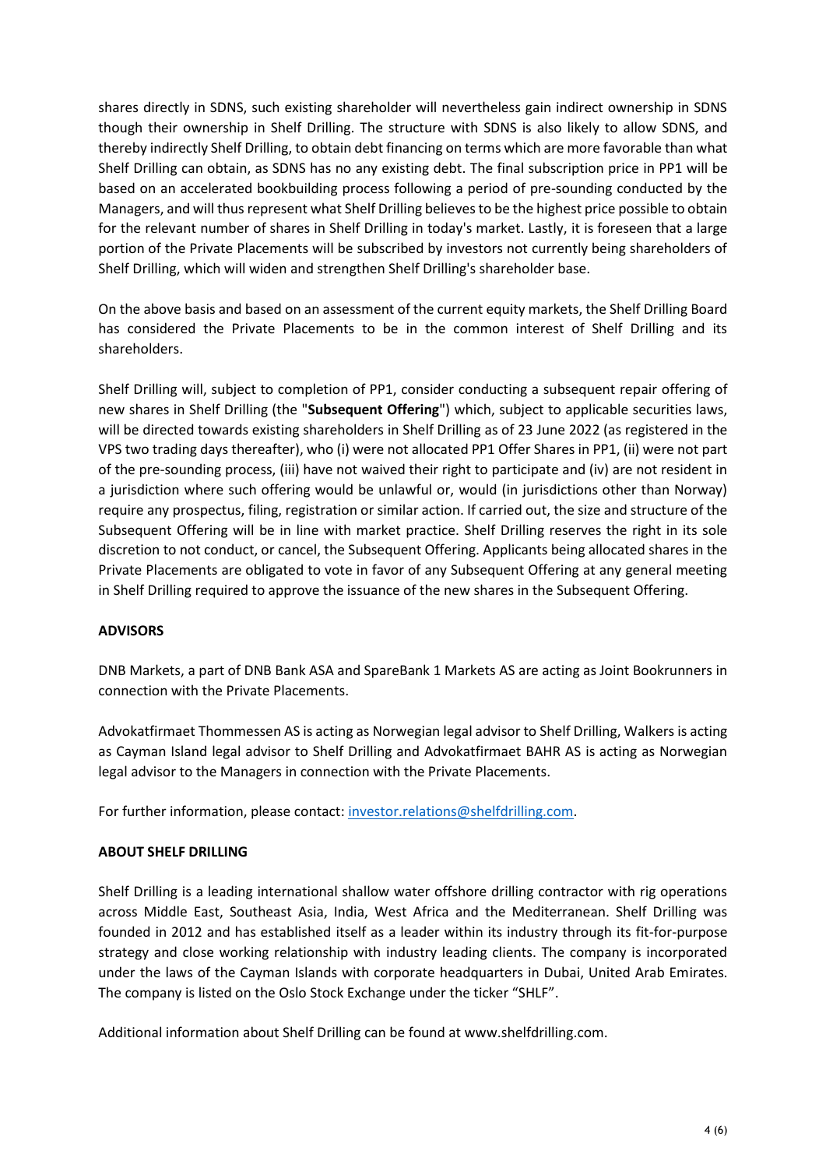shares directly in SDNS, such existing shareholder will nevertheless gain indirect ownership in SDNS though their ownership in Shelf Drilling. The structure with SDNS is also likely to allow SDNS, and thereby indirectly Shelf Drilling, to obtain debt financing on terms which are more favorable than what Shelf Drilling can obtain, as SDNS has no any existing debt. The final subscription price in PP1 will be based on an accelerated bookbuilding process following a period of pre-sounding conducted by the Managers, and will thus represent what Shelf Drilling believes to be the highest price possible to obtain for the relevant number of shares in Shelf Drilling in today's market. Lastly, it is foreseen that a large portion of the Private Placements will be subscribed by investors not currently being shareholders of Shelf Drilling, which will widen and strengthen Shelf Drilling's shareholder base.

On the above basis and based on an assessment of the current equity markets, the Shelf Drilling Board has considered the Private Placements to be in the common interest of Shelf Drilling and its shareholders.

Shelf Drilling will, subject to completion of PP1, consider conducting a subsequent repair offering of new shares in Shelf Drilling (the "**Subsequent Offering**") which, subject to applicable securities laws, will be directed towards existing shareholders in Shelf Drilling as of 23 June 2022 (as registered in the VPS two trading days thereafter), who (i) were not allocated PP1 Offer Shares in PP1, (ii) were not part of the pre-sounding process, (iii) have not waived their right to participate and (iv) are not resident in a jurisdiction where such offering would be unlawful or, would (in jurisdictions other than Norway) require any prospectus, filing, registration or similar action. If carried out, the size and structure of the Subsequent Offering will be in line with market practice. Shelf Drilling reserves the right in its sole discretion to not conduct, or cancel, the Subsequent Offering. Applicants being allocated shares in the Private Placements are obligated to vote in favor of any Subsequent Offering at any general meeting in Shelf Drilling required to approve the issuance of the new shares in the Subsequent Offering.

## **ADVISORS**

DNB Markets, a part of DNB Bank ASA and SpareBank 1 Markets AS are acting as Joint Bookrunners in connection with the Private Placements.

Advokatfirmaet Thommessen AS is acting as Norwegian legal advisor to Shelf Drilling, Walkers is acting as Cayman Island legal advisor to Shelf Drilling and Advokatfirmaet BAHR AS is acting as Norwegian legal advisor to the Managers in connection with the Private Placements.

For further information, please contact: [investor.relations@shelfdrilling.com.](mailto:investor.relations@shelfdrilling.com)

## **ABOUT SHELF DRILLING**

Shelf Drilling is a leading international shallow water offshore drilling contractor with rig operations across Middle East, Southeast Asia, India, West Africa and the Mediterranean. Shelf Drilling was founded in 2012 and has established itself as a leader within its industry through its fit-for-purpose strategy and close working relationship with industry leading clients. The company is incorporated under the laws of the Cayman Islands with corporate headquarters in Dubai, United Arab Emirates. The company is listed on the Oslo Stock Exchange under the ticker "SHLF".

Additional information about Shelf Drilling can be found at www.shelfdrilling.com.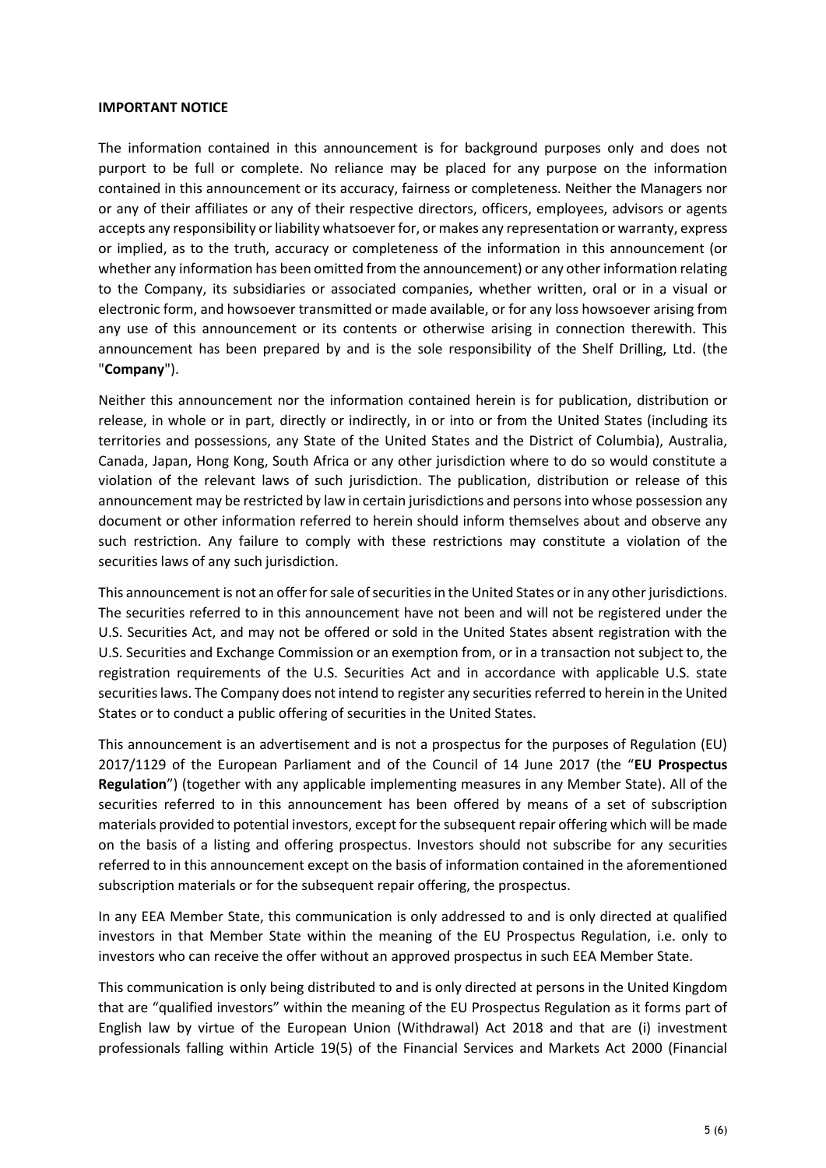#### **IMPORTANT NOTICE**

The information contained in this announcement is for background purposes only and does not purport to be full or complete. No reliance may be placed for any purpose on the information contained in this announcement or its accuracy, fairness or completeness. Neither the Managers nor or any of their affiliates or any of their respective directors, officers, employees, advisors or agents accepts any responsibility or liability whatsoever for, or makes any representation or warranty, express or implied, as to the truth, accuracy or completeness of the information in this announcement (or whether any information has been omitted from the announcement) or any other information relating to the Company, its subsidiaries or associated companies, whether written, oral or in a visual or electronic form, and howsoever transmitted or made available, or for any loss howsoever arising from any use of this announcement or its contents or otherwise arising in connection therewith. This announcement has been prepared by and is the sole responsibility of the Shelf Drilling, Ltd. (the "**Company**").

Neither this announcement nor the information contained herein is for publication, distribution or release, in whole or in part, directly or indirectly, in or into or from the United States (including its territories and possessions, any State of the United States and the District of Columbia), Australia, Canada, Japan, Hong Kong, South Africa or any other jurisdiction where to do so would constitute a violation of the relevant laws of such jurisdiction. The publication, distribution or release of this announcement may be restricted by law in certain jurisdictions and persons into whose possession any document or other information referred to herein should inform themselves about and observe any such restriction. Any failure to comply with these restrictions may constitute a violation of the securities laws of any such jurisdiction.

This announcement is not an offer for sale of securities in the United States or in any other jurisdictions. The securities referred to in this announcement have not been and will not be registered under the U.S. Securities Act, and may not be offered or sold in the United States absent registration with the U.S. Securities and Exchange Commission or an exemption from, or in a transaction not subject to, the registration requirements of the U.S. Securities Act and in accordance with applicable U.S. state securities laws. The Company does not intend to register any securities referred to herein in the United States or to conduct a public offering of securities in the United States.

This announcement is an advertisement and is not a prospectus for the purposes of Regulation (EU) 2017/1129 of the European Parliament and of the Council of 14 June 2017 (the "**EU Prospectus Regulation**") (together with any applicable implementing measures in any Member State). All of the securities referred to in this announcement has been offered by means of a set of subscription materials provided to potential investors, except for the subsequent repair offering which will be made on the basis of a listing and offering prospectus. Investors should not subscribe for any securities referred to in this announcement except on the basis of information contained in the aforementioned subscription materials or for the subsequent repair offering, the prospectus.

In any EEA Member State, this communication is only addressed to and is only directed at qualified investors in that Member State within the meaning of the EU Prospectus Regulation, i.e. only to investors who can receive the offer without an approved prospectus in such EEA Member State.

This communication is only being distributed to and is only directed at persons in the United Kingdom that are "qualified investors" within the meaning of the EU Prospectus Regulation as it forms part of English law by virtue of the European Union (Withdrawal) Act 2018 and that are (i) investment professionals falling within Article 19(5) of the Financial Services and Markets Act 2000 (Financial